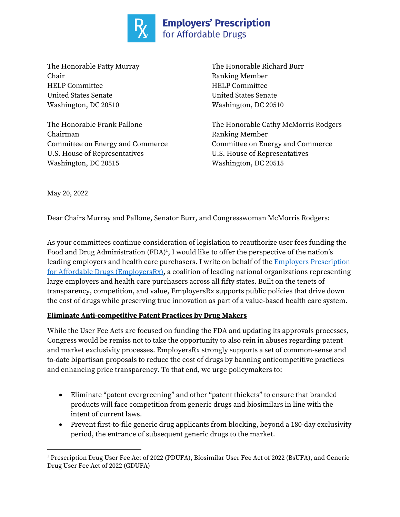

The Honorable Patty Murray The Honorable Richard Burr Chair Ranking Member HELP Committee HELP Committee United States Senate United States Senate Washington, DC 20510 Washington, DC 20510

Chairman Ranking Member U.S. House of Representatives U.S. House of Representatives Washington, DC 20515 Washington, DC 20515

The Honorable Frank Pallone The Honorable Cathy McMorris Rodgers Committee on Energy and Commerce Committee on Energy and Commerce

May 20, 2022

Dear Chairs Murray and Pallone, Senator Burr, and Congresswoman McMorris Rodgers:

As your committees continue consideration of legislation to reauthorize user fees funding the Food and Drug Administration  $(FDA)^1$ , I would like to offer the perspective of the nation's leading employers and health care purchasers. I write on behalf of the **Employers Prescription** for Affordable Drugs (EmployersRx), a coalition of leading national organizations representing large employers and health care purchasers across all fifty states. Built on the tenets of transparency, competition, and value, EmployersRx supports public policies that drive down the cost of drugs while preserving true innovation as part of a value-based health care system.

## **Eliminate Anti-competitive Patent Practices by Drug Makers**

While the User Fee Acts are focused on funding the FDA and updating its approvals processes, Congress would be remiss not to take the opportunity to also rein in abuses regarding patent and market exclusivity processes. EmployersRx strongly supports a set of common-sense and to-date bipartisan proposals to reduce the cost of drugs by banning anticompetitive practices and enhancing price transparency. To that end, we urge policymakers to:

- Eliminate "patent evergreening" and other "patent thickets" to ensure that branded products will face competition from generic drugs and biosimilars in line with the intent of current laws.
- Prevent first-to-file generic drug applicants from blocking, beyond a 180-day exclusivity period, the entrance of subsequent generic drugs to the market.

<sup>&</sup>lt;sup>1</sup> Prescription Drug User Fee Act of 2022 (PDUFA), Biosimilar User Fee Act of 2022 (BsUFA), and Generic Drug User Fee Act of 2022 (GDUFA)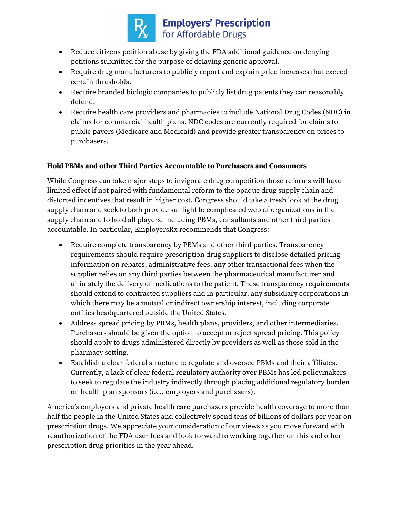

## **Employers' Prescription**<br>for Affordable Drugs

- Reduce citizens petition abuse by giving the FDA additional guidance on denying petitions submitted for the purpose of delaying generic approval.
- Require drug manufacturers to publicly report and explain price increases that exceed certain thresholds.
- Require branded biologic companies to publicly list drug patents they can reasonably defend.
- Require health care providers and pharmacies to include National Drug Codes (NDC) in claims for commercial health plans. NDC codes are currently required for claims to public payers (Medicare and Medicaid) and provide greater transparency on prices to purchasers.

## **Hold PBMs and other Third Parties Accountable to Purchasers and Consumers**

While Congress can take major steps to invigorate drug competition those reforms will have limited effect if not paired with fundamental reform to the opaque drug supply chain and distorted incentives that result in higher cost. Congress should take a fresh look at the drug supply chain and seek to both provide sunlight to complicated web of organizations in the supply chain and to hold all players, including PBMs, consultants and other third parties accountable. In particular, EmployersRx recommends that Congress:

- Require complete transparency by PBMs and other third parties. Transparency requirements should require prescription drug suppliers to disclose detailed pricing information on rebates, administrative fees, any other transactional fees when the supplier relies on any third parties between the pharmaceutical manufacturer and ultimately the delivery of medications to the patient. These transparency requirements should extend to contracted suppliers and in particular, any subsidiary corporations in which there may be a mutual or indirect ownership interest, including corporate entities headquartered outside the United States.
- Address spread pricing by PBMs, health plans, providers, and other intermediaries. Purchasers should be given the option to accept or reject spread pricing. This policy should apply to drugs administered directly by providers as well as those sold in the pharmacy setting.
- Establish a clear federal structure to regulate and oversee PBMs and their affiliates. Currently, a lack of clear federal regulatory authority over PBMs has led policymakers to seek to regulate the industry indirectly through placing additional regulatory burden on health plan sponsors (i.e., employers and purchasers).

America's employers and private health care purchasers provide health coverage to more than half the people in the United States and collectively spend tens of billions of dollars per year on prescription drugs. We appreciate your consideration of our views as you move forward with reauthorization of the FDA user fees and look forward to working together on this and other prescription drug priorities in the year ahead.